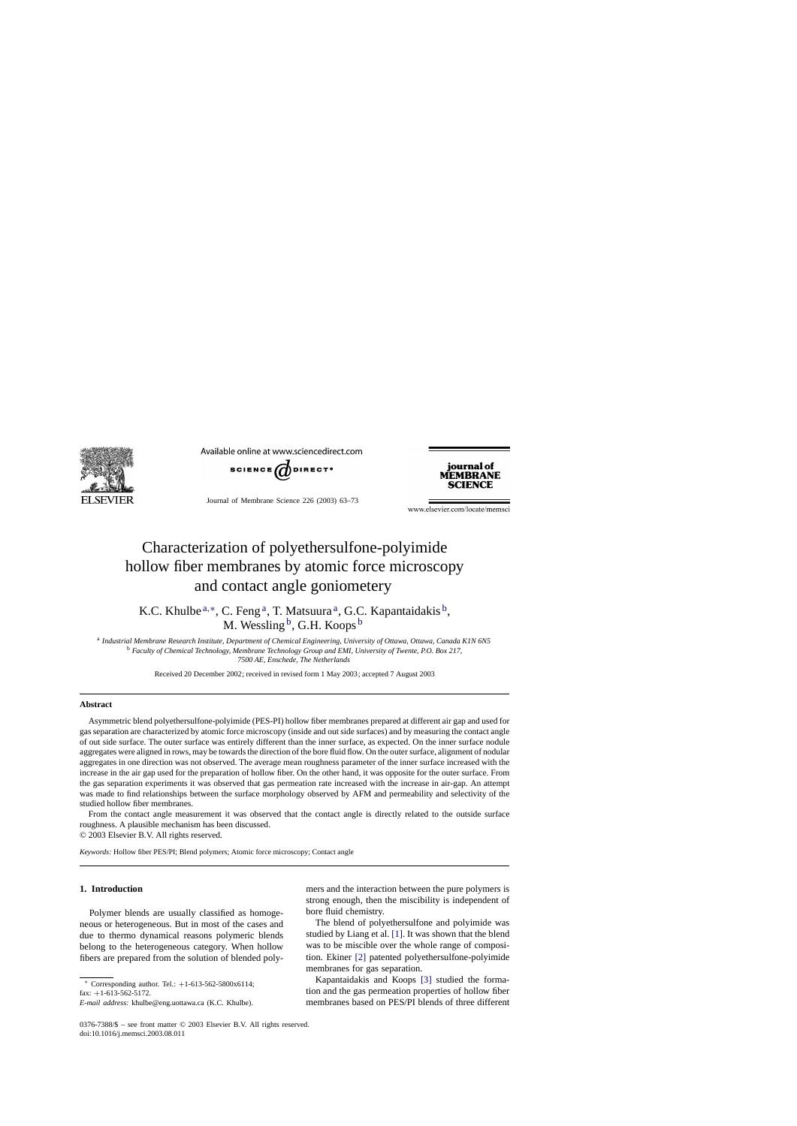

Available online at www.sciencedirect.com



Journal of Membrane Science 226 (2003) 63–73



www.elsevier.com/locate/memsci

# Characterization of polyethersulfone-polyimide hollow fiber membranes by atomic force microscopy and contact angle goniometery

K.C. Khulbe  $a, *$ , C. Feng  $a$ , T. Matsuura  $a$ , G.C. Kapantaidakis  $b$ , M. Wessling  $^{\rm b}$ , G.H. Koops  $^{\rm b}$ 

<sup>a</sup> *Industrial Membrane Research Institute, Department of Chemical Engineering, University of Ottawa, Ottawa, Canada K1N 6N5* <sup>b</sup> *Faculty of Chemical Technology, Membrane Technology Group and EMI, University of Twente, P.O. Box 217, 7500 AE, Enschede, The Netherlands*

Received 20 December 2002; received in revised form 1 May 2003; accepted 7 August 2003

#### **Abstract**

Asymmetric blend polyethersulfone-polyimide (PES-PI) hollow fiber membranes prepared at different air gap and used for gas separation are characterized by atomic force microscopy (inside and out side surfaces) and by measuring the contact angle of out side surface. The outer surface was entirely different than the inner surface, as expected. On the inner surface nodule aggregates were aligned in rows, may be towards the direction of the bore fluid flow. On the outer surface, alignment of nodular aggregates in one direction was not observed. The average mean roughness parameter of the inner surface increased with the increase in the air gap used for the preparation of hollow fiber. On the other hand, it was opposite for the outer surface. From the gas separation experiments it was observed that gas permeation rate increased with the increase in air-gap. An attempt was made to find relationships between the surface morphology observed by AFM and permeability and selectivity of the studied hollow fiber membranes.

From the contact angle measurement it was observed that the contact angle is directly related to the outside surface roughness. A plausible mechanism has been discussed.

© 2003 Elsevier B.V. All rights reserved.

*Keywords:* Hollow fiber PES/PI; Blend polymers; Atomic force microscopy; Contact angle

# **1. Introduction**

Polymer blends are usually classified as homogeneous or heterogeneous. But in most of the cases and due to thermo dynamical reasons polymeric blends belong to the heterogeneous category. When hollow fibers are prepared from the solution of blended poly-

<sup>∗</sup> Corresponding author. Tel.: +1-613-562-5800x6114; fax:  $+1-613-562-5172$ .

mers and the interaction between the pure polymers is strong enough, then the miscibility is independent of bore fluid chemistry.

The blend of polyethersulfone and polyimide was studied by Liang et al. [\[1\]. I](#page-10-0)t was shown that the blend was to be miscible over the whole range of composition. Ekiner [\[2\]](#page-10-0) patented polyethersulfone-polyimide membranes for gas separation.

Kapantaidakis and Koops [\[3\]](#page-10-0) studied the formation and the gas permeation properties of hollow fiber membranes based on PES/PI blends of three different

*E-mail address:* khulbe@eng.uottawa.ca (K.C. Khulbe).

<sup>0376-7388/\$ –</sup> see front matter © 2003 Elsevier B.V. All rights reserved. doi:10.1016/j.memsci.2003.08.011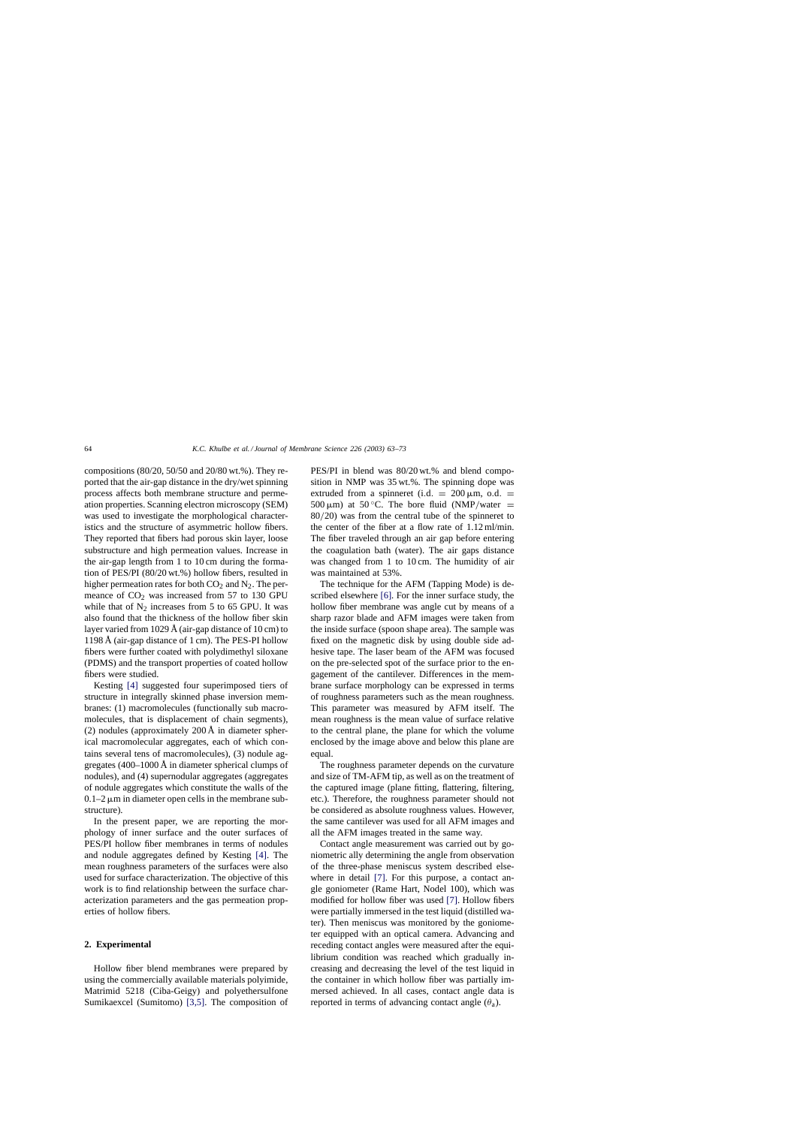compositions (80/20, 50/50 and 20/80 wt.%). They reported that the air-gap distance in the dry/wet spinning process affects both membrane structure and permeation properties. Scanning electron microscopy (SEM) was used to investigate the morphological characteristics and the structure of asymmetric hollow fibers. They reported that fibers had porous skin layer, loose substructure and high permeation values. Increase in the air-gap length from 1 to 10 cm during the formation of PES/PI (80/20 wt.%) hollow fibers, resulted in higher permeation rates for both  $CO<sub>2</sub>$  and  $N<sub>2</sub>$ . The permeance of  $CO<sub>2</sub>$  was increased from 57 to 130 GPU while that of  $N_2$  increases from 5 to 65 GPU. It was also found that the thickness of the hollow fiber skin layer varied from 1029 Å (air-gap distance of 10 cm) to 1198 Å (air-gap distance of 1 cm). The PES-PI hollow fibers were further coated with polydimethyl siloxane (PDMS) and the transport properties of coated hollow fibers were studied.

Kesting [\[4\]](#page-10-0) suggested four superimposed tiers of structure in integrally skinned phase inversion membranes: (1) macromolecules (functionally sub macromolecules, that is displacement of chain segments), (2) nodules (approximately 200 Å in diameter spherical macromolecular aggregates, each of which contains several tens of macromolecules), (3) nodule aggregates (400–1000 Å in diameter spherical clumps of nodules), and (4) supernodular aggregates (aggregates of nodule aggregates which constitute the walls of the  $0.1-2 \mu m$  in diameter open cells in the membrane substructure).

In the present paper, we are reporting the morphology of inner surface and the outer surfaces of PES/PI hollow fiber membranes in terms of nodules and nodule aggregates defined by Kesting [\[4\].](#page-10-0) The mean roughness parameters of the surfaces were also used for surface characterization. The objective of this work is to find relationship between the surface characterization parameters and the gas permeation properties of hollow fibers.

# **2. Experimental**

Hollow fiber blend membranes were prepared by using the commercially available materials polyimide, Matrimid 5218 (Ciba-Geigy) and polyethersulfone Sumikaexcel (Sumitomo) [\[3,5\].](#page-10-0) The composition of PES/PI in blend was 80/20 wt.% and blend composition in NMP was 35 wt.%. The spinning dope was extruded from a spinneret (i.d.  $= 200 \,\mu \text{m}$ , o.d.  $=$ 500  $\mu$ m) at 50 °C. The bore fluid (NMP/water = 80/20) was from the central tube of the spinneret to the center of the fiber at a flow rate of 1.12 ml/min. The fiber traveled through an air gap before entering the coagulation bath (water). The air gaps distance was changed from 1 to 10 cm. The humidity of air was maintained at 53%.

The technique for the AFM (Tapping Mode) is described elsewhere [\[6\].](#page-10-0) For the inner surface study, the hollow fiber membrane was angle cut by means of a sharp razor blade and AFM images were taken from the inside surface (spoon shape area). The sample was fixed on the magnetic disk by using double side adhesive tape. The laser beam of the AFM was focused on the pre-selected spot of the surface prior to the engagement of the cantilever. Differences in the membrane surface morphology can be expressed in terms of roughness parameters such as the mean roughness. This parameter was measured by AFM itself. The mean roughness is the mean value of surface relative to the central plane, the plane for which the volume enclosed by the image above and below this plane are equal.

The roughness parameter depends on the curvature and size of TM-AFM tip, as well as on the treatment of the captured image (plane fitting, flattering, filtering, etc.). Therefore, the roughness parameter should not be considered as absolute roughness values. However, the same cantilever was used for all AFM images and all the AFM images treated in the same way.

Contact angle measurement was carried out by goniometric ally determining the angle from observation of the three-phase meniscus system described elsewhere in detail [\[7\].](#page-10-0) For this purpose, a contact angle goniometer (Rame Hart, Nodel 100), which was modified for hollow fiber was used [\[7\]. H](#page-10-0)ollow fibers were partially immersed in the test liquid (distilled water). Then meniscus was monitored by the goniometer equipped with an optical camera. Advancing and receding contact angles were measured after the equilibrium condition was reached which gradually increasing and decreasing the level of the test liquid in the container in which hollow fiber was partially immersed achieved. In all cases, contact angle data is reported in terms of advancing contact angle  $(\theta_a)$ .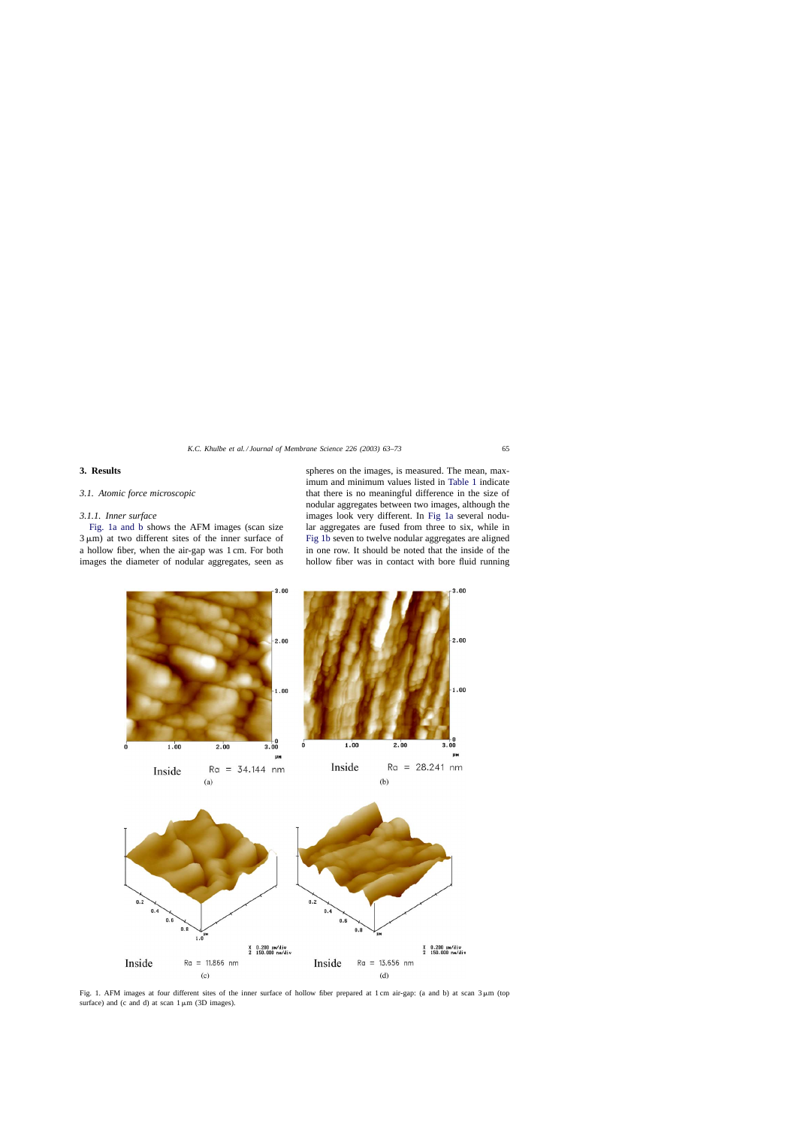# <span id="page-2-0"></span>**3. Results**

#### *3.1. Atomic force microscopic*

#### *3.1.1. Inner surface*

Fig. 1a and b shows the AFM images (scan size  $3 \mu m$ ) at two different sites of the inner surface of a hollow fiber, when the air-gap was 1 cm. For both images the diameter of nodular aggregates, seen as

spheres on the images, is measured. The mean, maximum and minimum values listed in [Table 1](#page-3-0) indicate that there is no meaningful difference in the size of nodular aggregates between two images, although the images look very different. In Fig 1a several nodular aggregates are fused from three to six, while in Fig 1b seven to twelve nodular aggregates are aligned in one row. It should be noted that the inside of the hollow fiber was in contact with bore fluid running



Fig. 1. AFM images at four different sites of the inner surface of hollow fiber prepared at 1 cm air-gap: (a and b) at scan  $3 \mu$ m (top surface) and (c and d) at scan  $1 \mu m$  (3D images).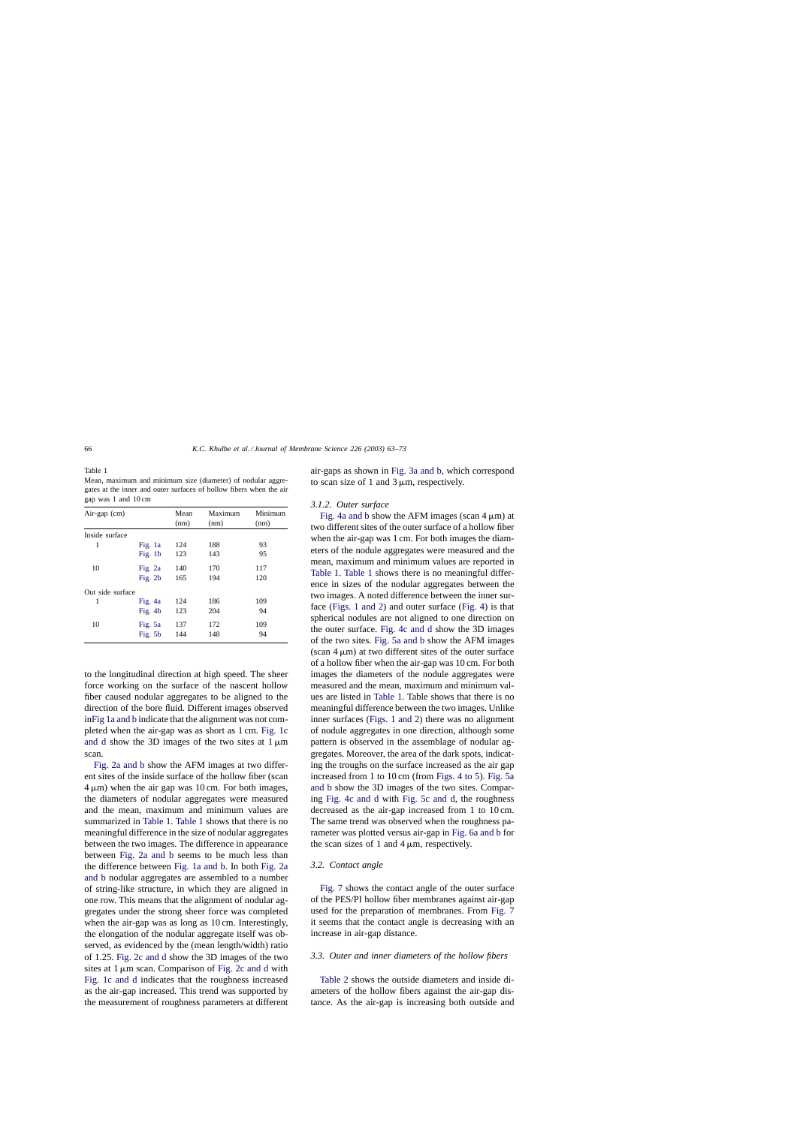<span id="page-3-0"></span>Table 1 Mean, maximum and minimum size (diameter) of nodular aggregates at the inner and outer surfaces of hollow fibers when the air gap was 1 and 10 cm

| Air-gap $(cm)$   |           | Mean<br>(nm) | Maximum<br>(nm) | Minimum<br>(nm) |
|------------------|-----------|--------------|-----------------|-----------------|
| Inside surface   |           |              |                 |                 |
| 1                | Fig. 1a   | 124          | 188             | 93              |
|                  | Fig. $1b$ | 123          | 143             | 95              |
| 10               | Fig. 2a   | 140          | 170             | 117             |
|                  | Fig. $2b$ | 165          | 194             | 120             |
| Out side surface |           |              |                 |                 |
| 1                | Fig. 4a   | 124          | 186             | 109             |
|                  | Fig. 4b   | 123          | 204             | 94              |
| 10               | Fig. 5a   | 137          | 172             | 109             |
|                  | Fig. 5b   | 144          | 148             | 94              |

to the longitudinal direction at high speed. The sheer force working on the surface of the nascent hollow fiber caused nodular aggregates to be aligned to the direction of the bore fluid. Different images observed in[Fig 1a and b](#page-2-0) indicate that the alignment was not completed when the air-gap was as short as 1 cm. [Fig. 1c](#page-2-0) [and d](#page-2-0) show the 3D images of the two sites at  $1 \mu m$ scan.

[Fig. 2a and b](#page-4-0) show the AFM images at two different sites of the inside surface of the hollow fiber (scan  $4 \mu m$ ) when the air gap was 10 cm. For both images, the diameters of nodular aggregates were measured and the mean, maximum and minimum values are summarized in Table 1. Table 1 shows that there is no meaningful difference in the size of nodular aggregates between the two images. The difference in appearance between [Fig. 2a and b](#page-4-0) seems to be much less than the difference between [Fig. 1a and b.](#page-2-0) In both [Fig. 2a](#page-4-0) [and b](#page-4-0) nodular aggregates are assembled to a number of string-like structure, in which they are aligned in one row. This means that the alignment of nodular aggregates under the strong sheer force was completed when the air-gap was as long as 10 cm. Interestingly, the elongation of the nodular aggregate itself was observed, as evidenced by the (mean length/width) ratio of 1.25. [Fig. 2c and d](#page-4-0) show the 3D images of the two sites at  $1 \mu m$  scan. Comparison of [Fig. 2c and d](#page-4-0) with [Fig. 1c and d](#page-2-0) indicates that the roughness increased as the air-gap increased. This trend was supported by the measurement of roughness parameters at different air-gaps as shown in [Fig. 3a and b,](#page-5-0) which correspond to scan size of 1 and 3  $\mu$ m, respectively.

# *3.1.2. Outer surface*

[Fig. 4a and b](#page-6-0) show the AFM images (scan  $4 \mu m$ ) at two different sites of the outer surface of a hollow fiber when the air-gap was 1 cm. For both images the diameters of the nodule aggregates were measured and the mean, maximum and minimum values are reported in Table 1. Table 1 shows there is no meaningful difference in sizes of the nodular aggregates between the two images. A noted difference between the inner surface [\(Figs. 1 and 2\)](#page-2-0) and outer surface [\(Fig. 4\)](#page-6-0) is that spherical nodules are not aligned to one direction on the outer surface. [Fig. 4c and d](#page-6-0) show the 3D images of the two sites. [Fig. 5a and b](#page-7-0) show the AFM images (scan  $4 \mu m$ ) at two different sites of the outer surface of a hollow fiber when the air-gap was 10 cm. For both images the diameters of the nodule aggregates were measured and the mean, maximum and minimum values are listed in Table 1. Table shows that there is no meaningful difference between the two images. Unlike inner surfaces ([Figs. 1 and 2\)](#page-2-0) there was no alignment of nodule aggregates in one direction, although some pattern is observed in the assemblage of nodular aggregates. Moreover, the area of the dark spots, indicating the troughs on the surface increased as the air gap increased from 1 to 10 cm (from [Figs. 4 to 5\).](#page-6-0) [Fig. 5a](#page-7-0) [and b](#page-7-0) show the 3D images of the two sites. Comparing [Fig. 4c and d](#page-6-0) with [Fig. 5c and d,](#page-7-0) the roughness decreased as the air-gap increased from 1 to 10 cm. The same trend was observed when the roughness parameter was plotted versus air-gap in [Fig. 6a and b](#page-8-0) for the scan sizes of 1 and 4  $\mu$ m, respectively.

# *3.2. Contact angle*

[Fig. 7](#page-8-0) shows the contact angle of the outer surface of the PES/PI hollow fiber membranes against air-gap used for the preparation of membranes. From [Fig. 7](#page-8-0) it seems that the contact angle is decreasing with an increase in air-gap distance.

# *3.3. Outer and inner diameters of the hollow fibers*

[Table 2](#page-4-0) shows the outside diameters and inside diameters of the hollow fibers against the air-gap distance. As the air-gap is increasing both outside and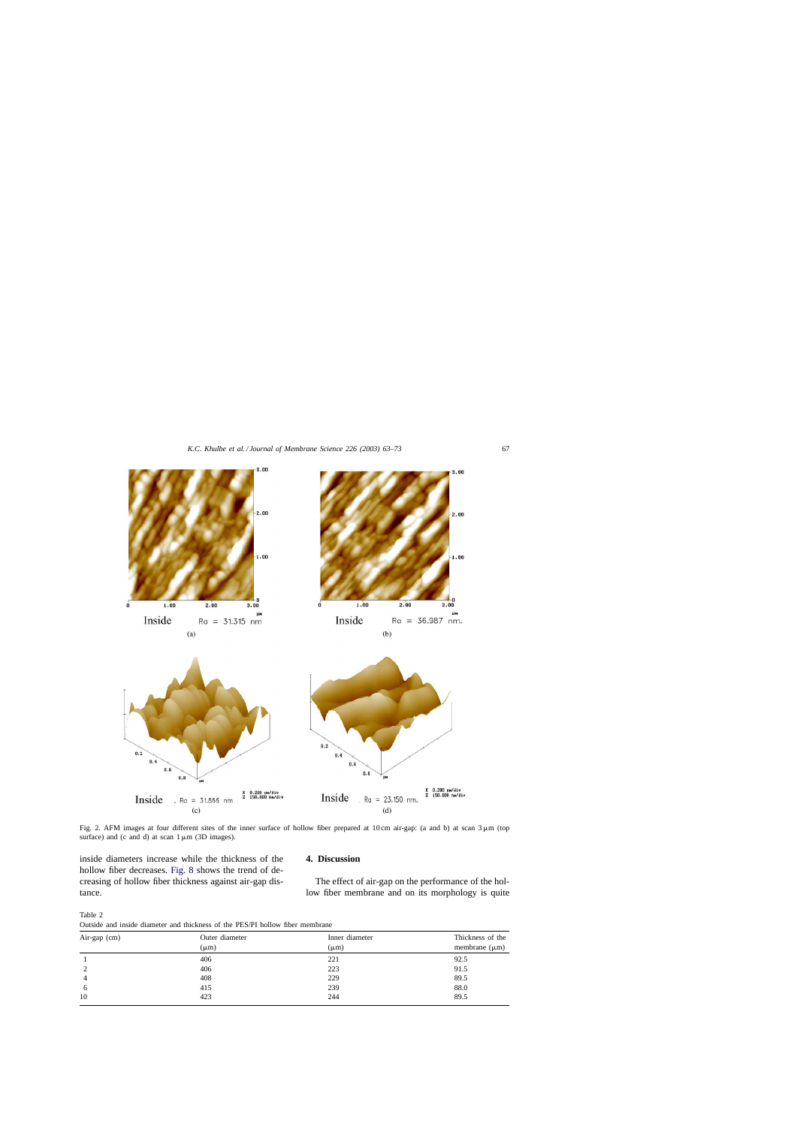<span id="page-4-0"></span>

Fig. 2. AFM images at four different sites of the inner surface of hollow fiber prepared at 10 cm air-gap: (a and b) at scan  $3 \mu m$  (top surface) and (c and d) at scan  $1 \mu m$  (3D images).

inside diameters increase while the thickness of the hollow fiber decreases. [Fig. 8](#page-9-0) shows the trend of decreasing of hollow fiber thickness against air-gap distance.

# **4. Discussion**

The effect of air-gap on the performance of the hollow fiber membrane and on its morphology is quite

Table 2

| Outside and inside diameter and thickness of the PES/PI hollow fiber membrane |
|-------------------------------------------------------------------------------|
|-------------------------------------------------------------------------------|

| Air-gap (cm) | Outer diameter<br>$(\mu m)$ | Inner diameter<br>$(\mu m)$ | Thickness of the<br>membrane $(\mu m)$ |
|--------------|-----------------------------|-----------------------------|----------------------------------------|
|              | 406                         | 221                         | 92.5                                   |
| 2            | 406                         | 223                         | 91.5                                   |
| 4            | 408                         | 229                         | 89.5                                   |
| 6            | 415                         | 239                         | 88.0                                   |
| 10           | 423                         | 244                         | 89.5                                   |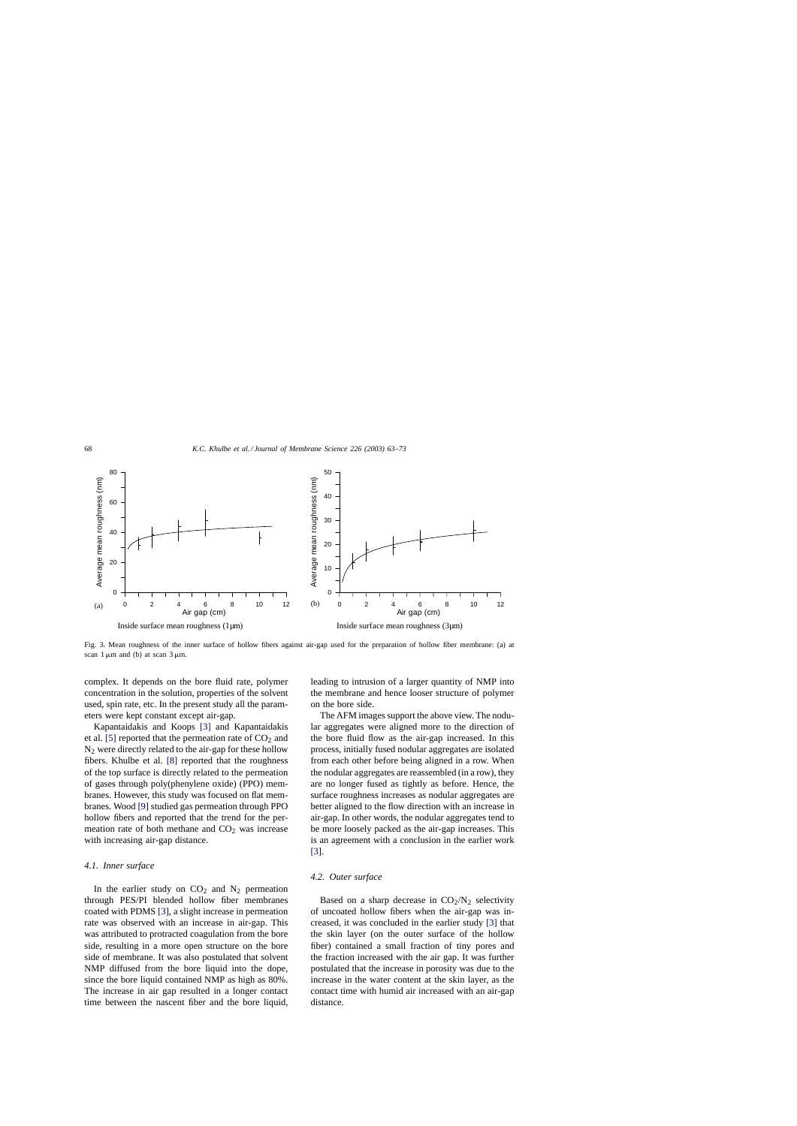<span id="page-5-0"></span>

Fig. 3. Mean roughness of the inner surface of hollow fibers against air-gap used for the preparation of hollow fiber membrane: (a) at scan  $1 \mu m$  and (b) at scan  $3 \mu m$ .

complex. It depends on the bore fluid rate, polymer concentration in the solution, properties of the solvent used, spin rate, etc. In the present study all the parameters were kept constant except air-gap.

Kapantaidakis and Koops [\[3\]](#page-10-0) and Kapantaidakis et al. [\[5\]](#page-10-0) reported that the permeation rate of  $CO<sub>2</sub>$  and  $N_2$  were directly related to the air-gap for these hollow fibers. Khulbe et al. [\[8\]](#page-10-0) reported that the roughness of the top surface is directly related to the permeation of gases through poly(phenylene oxide) (PPO) membranes. However, this study was focused on flat membranes. Wood [\[9\]](#page-10-0) studied gas permeation through PPO hollow fibers and reported that the trend for the permeation rate of both methane and  $CO<sub>2</sub>$  was increase with increasing air-gap distance.

#### *4.1. Inner surface*

In the earlier study on  $CO<sub>2</sub>$  and  $N<sub>2</sub>$  permeation through PES/PI blended hollow fiber membranes coated with PDMS [\[3\], a](#page-10-0) slight increase in permeation rate was observed with an increase in air-gap. This was attributed to protracted coagulation from the bore side, resulting in a more open structure on the bore side of membrane. It was also postulated that solvent NMP diffused from the bore liquid into the dope, since the bore liquid contained NMP as high as 80%. The increase in air gap resulted in a longer contact time between the nascent fiber and the bore liquid, leading to intrusion of a larger quantity of NMP into the membrane and hence looser structure of polymer on the bore side.

The AFM images support the above view. The nodular aggregates were aligned more to the direction of the bore fluid flow as the air-gap increased. In this process, initially fused nodular aggregates are isolated from each other before being aligned in a row. When the nodular aggregates are reassembled (in a row), they are no longer fused as tightly as before. Hence, the surface roughness increases as nodular aggregates are better aligned to the flow direction with an increase in air-gap. In other words, the nodular aggregates tend to be more loosely packed as the air-gap increases. This is an agreement with a conclusion in the earlier work [\[3\].](#page-10-0)

#### *4.2. Outer surface*

Based on a sharp decrease in  $CO<sub>2</sub>/N<sub>2</sub>$  selectivity of uncoated hollow fibers when the air-gap was increased, it was concluded in the earlier study [\[3\]](#page-10-0) that the skin layer (on the outer surface of the hollow fiber) contained a small fraction of tiny pores and the fraction increased with the air gap. It was further postulated that the increase in porosity was due to the increase in the water content at the skin layer, as the contact time with humid air increased with an air-gap distance.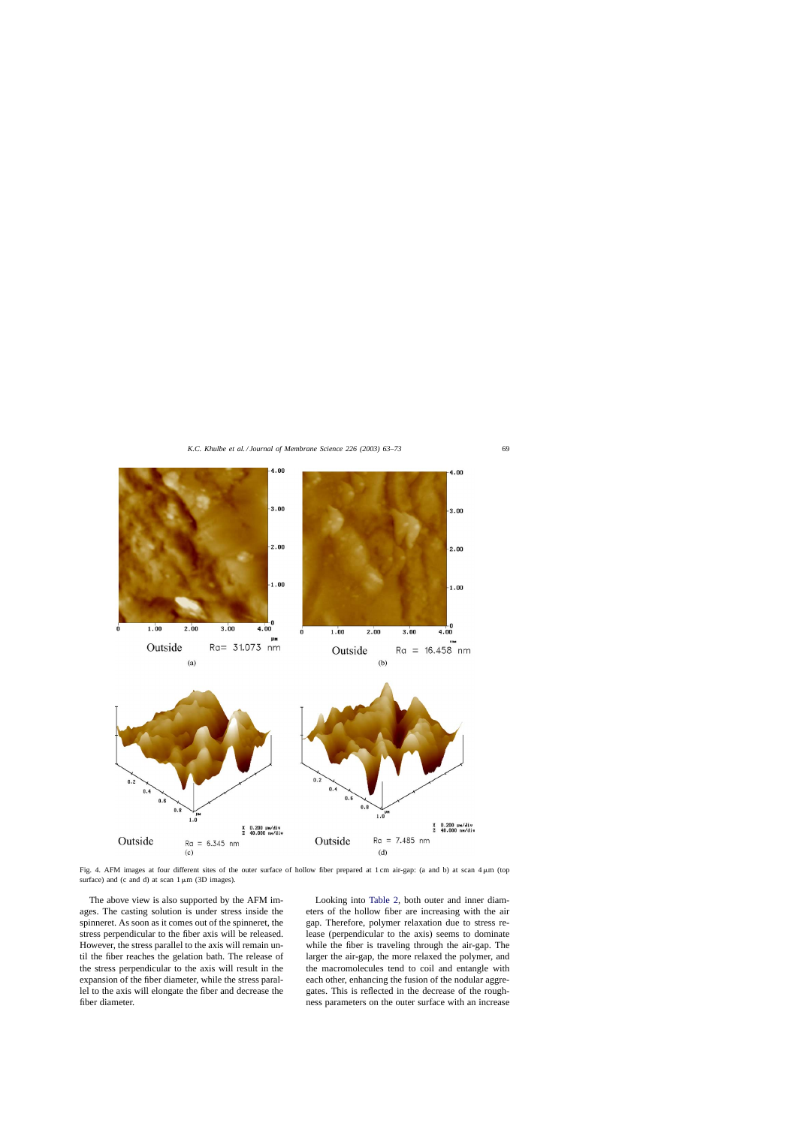<span id="page-6-0"></span>

Fig. 4. AFM images at four different sites of the outer surface of hollow fiber prepared at 1 cm air-gap: (a and b) at scan  $4 \mu m$  (top surface) and (c and d) at scan  $1 \mu m$  (3D images).

The above view is also supported by the AFM images. The casting solution is under stress inside the spinneret. As soon as it comes out of the spinneret, the stress perpendicular to the fiber axis will be released. However, the stress parallel to the axis will remain until the fiber reaches the gelation bath. The release of the stress perpendicular to the axis will result in the expansion of the fiber diameter, while the stress parallel to the axis will elongate the fiber and decrease the fiber diameter.

Looking into [Table 2,](#page-4-0) both outer and inner diameters of the hollow fiber are increasing with the air gap. Therefore, polymer relaxation due to stress release (perpendicular to the axis) seems to dominate while the fiber is traveling through the air-gap. The larger the air-gap, the more relaxed the polymer, and the macromolecules tend to coil and entangle with each other, enhancing the fusion of the nodular aggregates. This is reflected in the decrease of the roughness parameters on the outer surface with an increase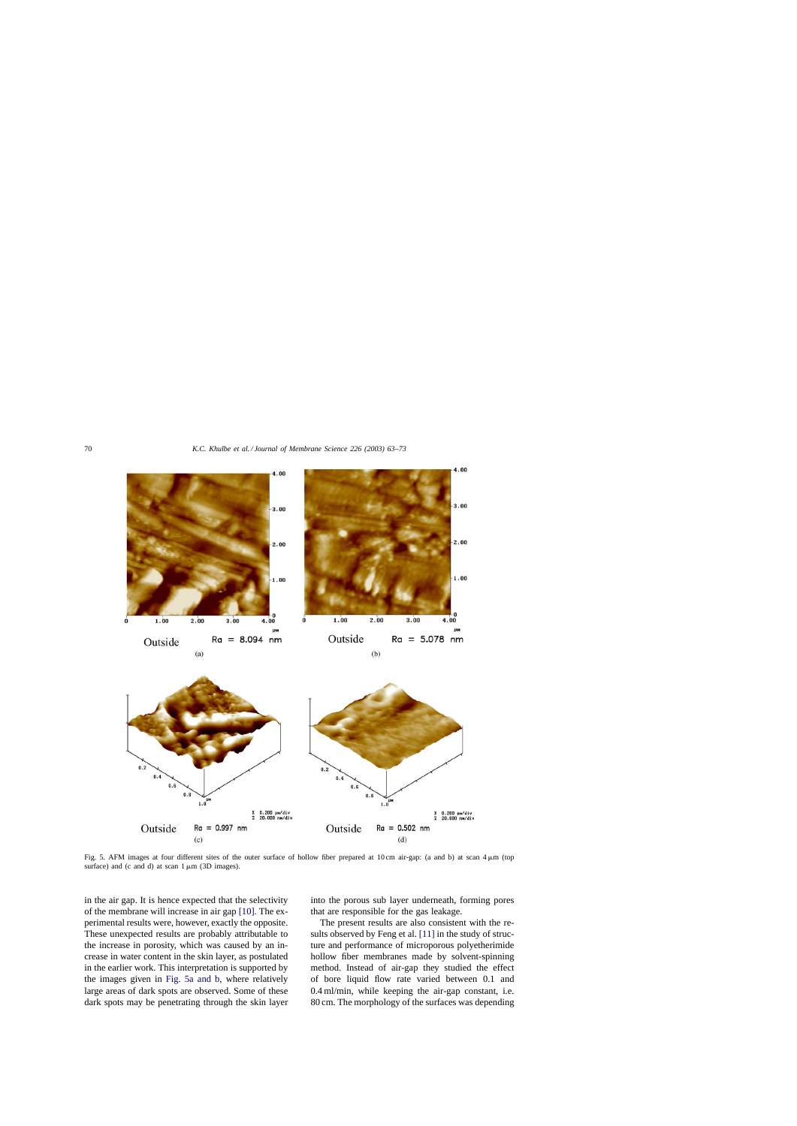<span id="page-7-0"></span>

Fig. 5. AFM images at four different sites of the outer surface of hollow fiber prepared at 10 cm air-gap: (a and b) at scan  $4 \mu m$  (top surface) and (c and d) at scan  $1 \mu m$  (3D images).

in the air gap. It is hence expected that the selectivity of the membrane will increase in air gap [\[10\]. T](#page-10-0)he experimental results were, however, exactly the opposite. These unexpected results are probably attributable to the increase in porosity, which was caused by an increase in water content in the skin layer, as postulated in the earlier work. This interpretation is supported by the images given in Fig. 5a and b, where relatively large areas of dark spots are observed. Some of these dark spots may be penetrating through the skin layer into the porous sub layer underneath, forming pores that are responsible for the gas leakage.

The present results are also consistent with the results observed by Feng et al. [\[11\]](#page-10-0) in the study of structure and performance of microporous polyetherimide hollow fiber membranes made by solvent-spinning method. Instead of air-gap they studied the effect of bore liquid flow rate varied between 0.1 and 0.4 ml/min, while keeping the air-gap constant, i.e. 80 cm. The morphology of the surfaces was depending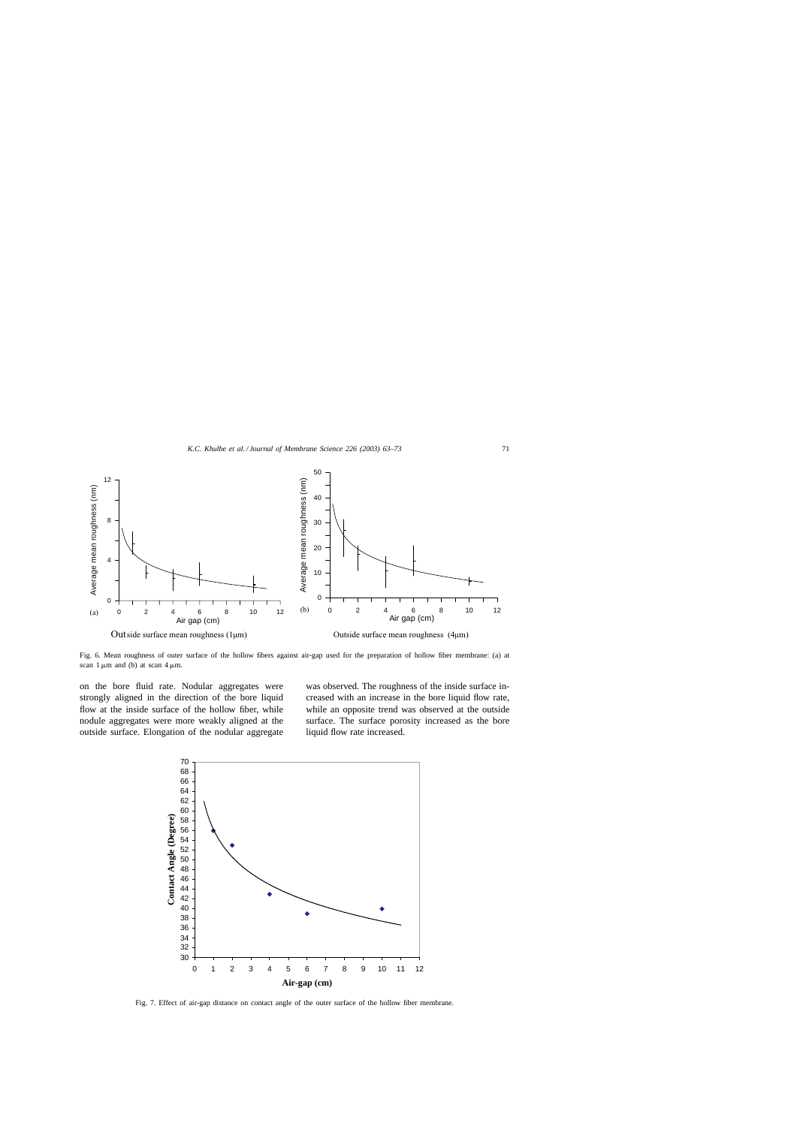<span id="page-8-0"></span>

Fig. 6. Mean roughness of outer surface of the hollow fibers against air-gap used for the preparation of hollow fiber membrane: (a) at scan  $1 \mu m$  and (b) at scan  $4 \mu m$ .

on the bore fluid rate. Nodular aggregates were strongly aligned in the direction of the bore liquid flow at the inside surface of the hollow fiber, while nodule aggregates were more weakly aligned at the outside surface. Elongation of the nodular aggregate was observed. The roughness of the inside surface increased with an increase in the bore liquid flow rate, while an opposite trend was observed at the outside surface. The surface porosity increased as the bore liquid flow rate increased.



Fig. 7. Effect of air-gap distance on contact angle of the outer surface of the hollow fiber membrane.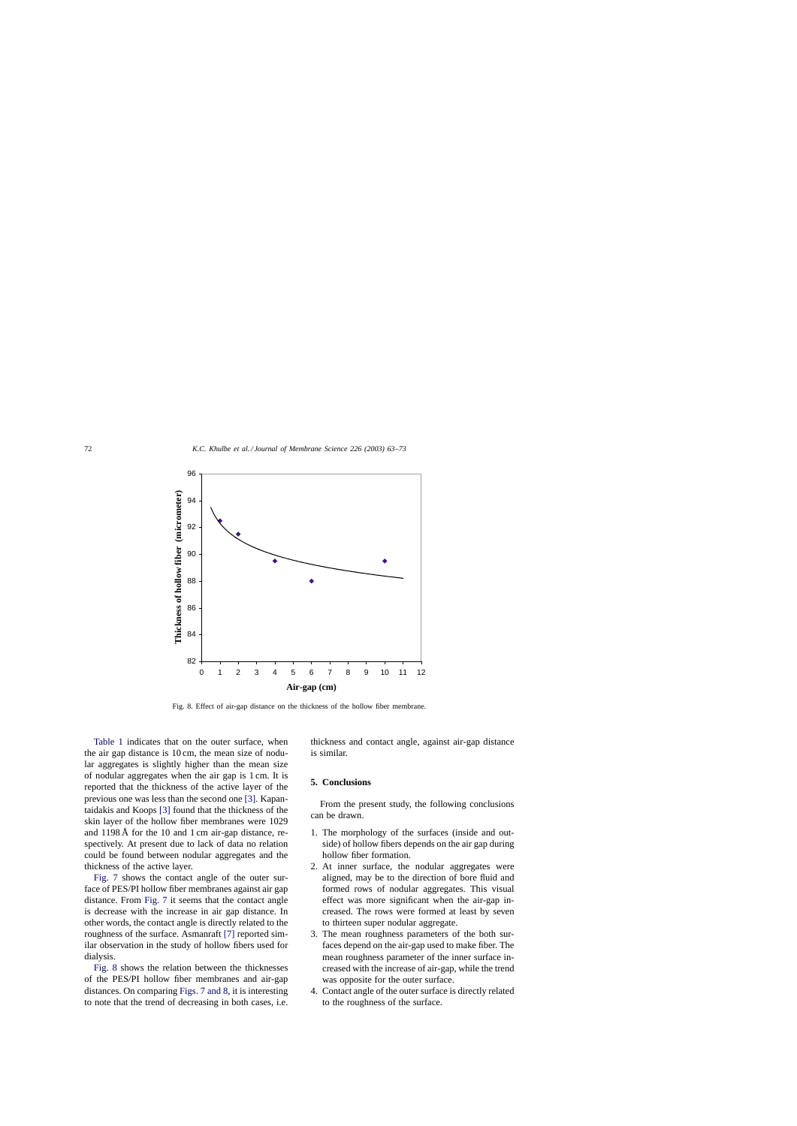<span id="page-9-0"></span>

Fig. 8. Effect of air-gap distance on the thickness of the hollow fiber membrane.

[Table 1](#page-3-0) indicates that on the outer surface, when the air gap distance is 10 cm, the mean size of nodular aggregates is slightly higher than the mean size of nodular aggregates when the air gap is 1 cm. It is reported that the thickness of the active layer of the previous one was less than the second one [\[3\].](#page-10-0) Kapantaidakis and Koops [\[3\]](#page-10-0) found that the thickness of the skin layer of the hollow fiber membranes were 1029 and 1198 Å for the 10 and 1 cm air-gap distance, respectively. At present due to lack of data no relation could be found between nodular aggregates and the thickness of the active layer.

[Fig. 7](#page-8-0) shows the contact angle of the outer surface of PES/PI hollow fiber membranes against air gap distance. From [Fig. 7](#page-8-0) it seems that the contact angle is decrease with the increase in air gap distance. In other words, the contact angle is directly related to the roughness of the surface. Asmanraft [\[7\]](#page-10-0) reported similar observation in the study of hollow fibers used for dialysis.

Fig. 8 shows the relation between the thicknesses of the PES/PI hollow fiber membranes and air-gap distances. On comparing [Figs. 7 and 8, i](#page-8-0)t is interesting to note that the trend of decreasing in both cases, i.e. thickness and contact angle, against air-gap distance is similar.

# **5. Conclusions**

From the present study, the following conclusions can be drawn.

- 1. The morphology of the surfaces (inside and outside) of hollow fibers depends on the air gap during hollow fiber formation.
- 2. At inner surface, the nodular aggregates were aligned, may be to the direction of bore fluid and formed rows of nodular aggregates. This visual effect was more significant when the air-gap increased. The rows were formed at least by seven to thirteen super nodular aggregate.
- 3. The mean roughness parameters of the both surfaces depend on the air-gap used to make fiber. The mean roughness parameter of the inner surface increased with the increase of air-gap, while the trend was opposite for the outer surface.
- 4. Contact angle of the outer surface is directly related to the roughness of the surface.